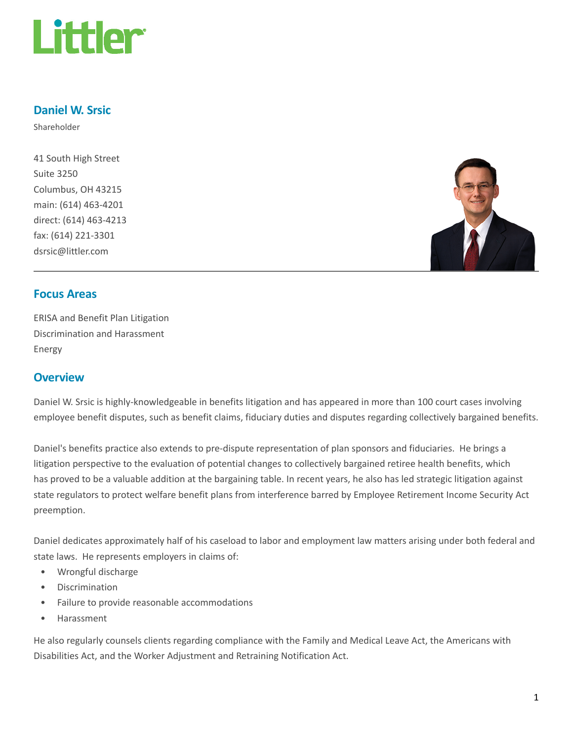

# Daniel W. Srsic

Shareholder

41 South High Street Suite 3250 Columbus, OH 43215 main: (614) 463-4201 direct: (614) 463-4213 fax: (614) 221-3301 dsrsic@littler.com



# Focus Areas

ERISA and Benefit Plan Litigation Discrimination and Harassment Energy

# **Overview**

Daniel W. Srsic is highly-knowledgeable in benefits litigation and has appeared in more than 100 court cases involving employee benefit disputes, such as benefit claims, fiduciary duties and disputes regarding collectively bargained benefits.

Daniel's benefits practice also extends to pre-dispute representation of plan sponsors and fiduciaries. He brings a litigation perspective to the evaluation of potential changes to collectively bargained retiree health benefits, which has proved to be a valuable addition at the bargaining table. In recent years, he also has led strategic litigation against state regulators to protect welfare benefit plans from interference barred by Employee Retirement Income Security Act preemption.

Daniel dedicates approximately half of his caseload to labor and employment law matters arising under both federal and state laws. He represents employers in claims of:

- Wrongful discharge
- Discrimination
- Failure to provide reasonable accommodations
- Harassment

He also regularly counsels clients regarding compliance with the Family and Medical Leave Act, the Americans with Disabilities Act, and the Worker Adjustment and Retraining Notification Act.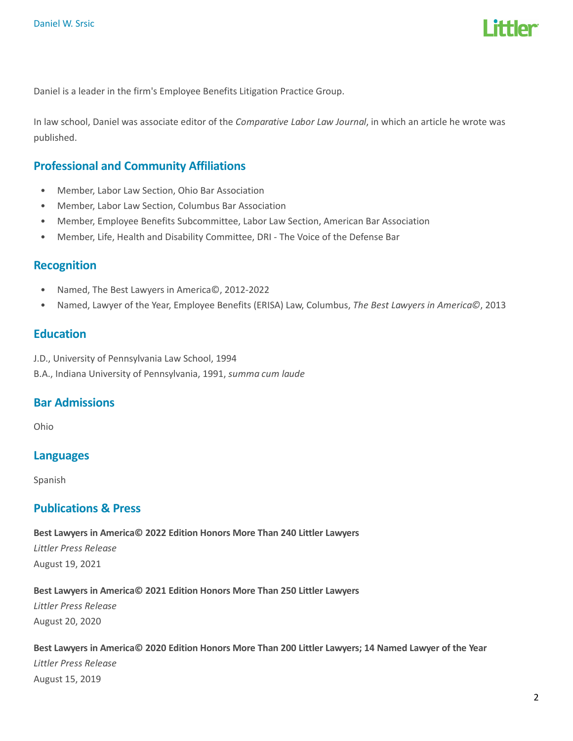

Daniel is a leader in the firm's Employee Benefits Litigation Practice Group.

In law school, Daniel was associate editor of the Comparative Labor Law Journal, in which an article he wrote was published.

# Professional and Community Affiliations

- Member, Labor Law Section, Ohio Bar Association
- Member, Labor Law Section, Columbus Bar Association
- Member, Employee Benefits Subcommittee, Labor Law Section, American Bar Association
- Member, Life, Health and Disability Committee, DRI The Voice of the Defense Bar

## Recognition

- Named, The Best Lawyers in America©, 2012-2022
- Named, Lawyer of the Year, Employee Benefits (ERISA) Law, Columbus, The Best Lawyers in America©, 2013

## **Education**

J.D., University of Pennsylvania Law School, 1994

B.A., Indiana University of Pennsylvania, 1991, summa cum laude

# Bar Admissions

Ohio

## Languages

Spanish

## Publications & Press

Best Lawyers in America© 2022 Edition Honors More Than 240 Littler Lawyers Littler Press Release August 19, 2021

Best Lawyers in America© 2021 Edition Honors More Than 250 Littler Lawyers

Littler Press Release August 20, 2020

Best Lawyers in America© 2020 Edition Honors More Than 200 Littler Lawyers; 14 Named Lawyer of the Year Littler Press Release August 15, 2019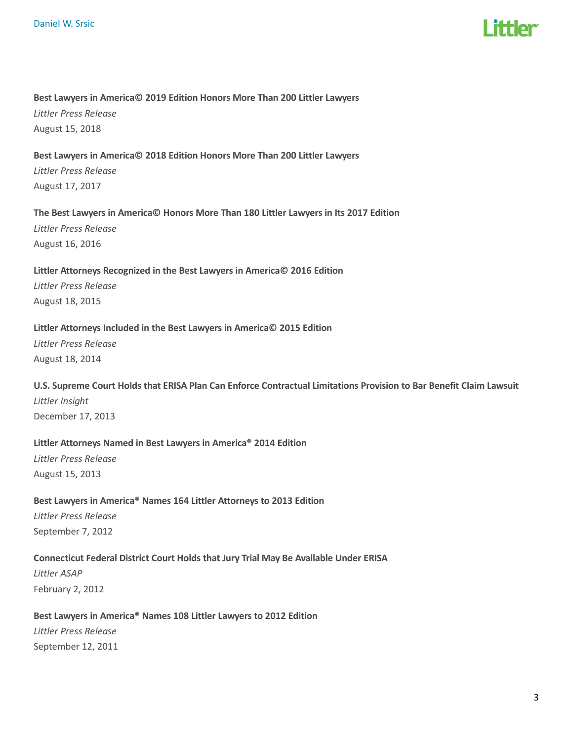

#### Best Lawyers in America© 2019 Edition Honors More Than 200 Littler Lawyers

Littler Press Release August 15, 2018

#### Best Lawyers in America© 2018 Edition Honors More Than 200 Littler Lawyers

Littler Press Release August 17, 2017

#### The Best Lawyers in America© Honors More Than 180 Littler Lawyers in Its 2017 Edition

Littler Press Release August 16, 2016

# Littler Attorneys Recognized in the Best Lawyers in America© 2016 Edition

Littler Press Release August 18, 2015

#### Littler Attorneys Included in the Best Lawyers in America© 2015 Edition

Littler Press Release August 18, 2014

# U.S. Supreme Court Holds that ERISA Plan Can Enforce Contractual Limitations Provision to Bar Benefit Claim Lawsuit Littler Insight

December 17, 2013

#### Littler Attorneys Named in Best Lawyers in America® 2014 Edition

Littler Press Release August 15, 2013

# Best Lawyers in America® Names 164 Littler Attorneys to 2013 Edition

Littler Press Release September 7, 2012

## Connecticut Federal District Court Holds that Jury Trial May Be Available Under ERISA

Littler ASAP February 2, 2012

## Best Lawyers in America® Names 108 Littler Lawyers to 2012 Edition

Littler Press Release September 12, 2011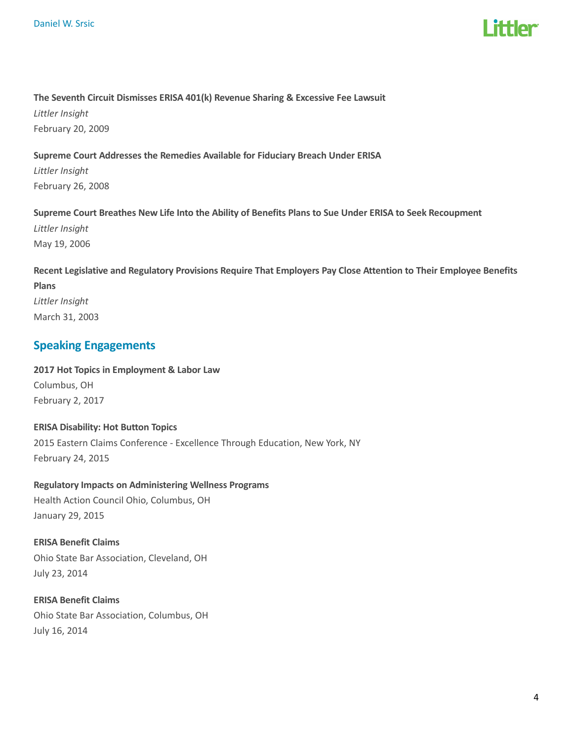

#### The Seventh Circuit Dismisses ERISA 401(k) Revenue Sharing & Excessive Fee Lawsuit

Littler Insight February 20, 2009

#### Supreme Court Addresses the Remedies Available for Fiduciary Breach Under ERISA

Littler Insight February 26, 2008

## Supreme Court Breathes New Life Into the Ability of Benefits Plans to Sue Under ERISA to Seek Recoupment

Littler Insight May 19, 2006

# Recent Legislative and Regulatory Provisions Require That Employers Pay Close Attention to Their Employee Benefits Plans Littler Insight March 31, 2003

# Speaking Engagements

2017 Hot Topics in Employment & Labor Law Columbus, OH February 2, 2017

# ERISA Disability: Hot Button Topics 2015 Eastern Claims Conference - Excellence Through Education, New York, NY February 24, 2015

# Regulatory Impacts on Administering Wellness Programs

Health Action Council Ohio, Columbus, OH January 29, 2015

## ERISA Benefit Claims

Ohio State Bar Association, Cleveland, OH July 23, 2014

ERISA Benefit Claims Ohio State Bar Association, Columbus, OH July 16, 2014